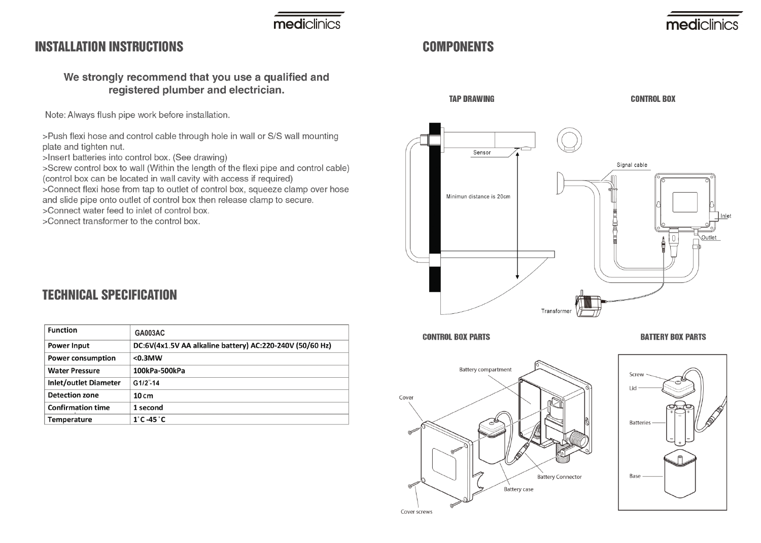### mediclinics

### **INSTALLATION INSTRUCTIONS**

#### We strongly recommend that you use a qualified and registered plumber and electrician.

Note: Always flush pipe work before installation.

>Push flexi hose and control cable through hole in wall or S/S wall mounting plate and tighten nut.

>Insert batteries into control box. (See drawing)

>Screw control box to wall (Within the length of the flexi pipe and control cable) (control box can be located in wall cavity with access if required)

>Connect flexi hose from tap to outlet of control box, squeeze clamp over hose and slide pipe onto outlet of control box then release clamp to secure.

>Connect water feed to inlet of control box.

>Connect transformer to the control box.

|  | TECHNICAL SPECIFICATION |
|--|-------------------------|
|--|-------------------------|

| <b>Function</b>              | GA003AC                                                  |
|------------------------------|----------------------------------------------------------|
| <b>Power Input</b>           | DC:6V(4x1.5V AA alkaline battery) AC:220-240V (50/60 Hz) |
| <b>Power consumption</b>     | $< 0.3$ MW                                               |
| <b>Water Pressure</b>        | 100kPa-500kPa                                            |
| <b>Inlet/outlet Diameter</b> | $G1/2$ -14                                               |
| <b>Detection zone</b>        | 10cm                                                     |
| <b>Confirmation time</b>     | 1 second                                                 |
| Temperature                  | $1^\circ$ C -45 $^\circ$ C                               |

## **TAP DRAWING CONTROL BOX** Sensor Signal cable Minimun distance is 20cm Ē Transformer

**CONTROL BOX PARTS** 

**COMPONENTS** 

**BATTERY BOX PARTS** 

mediclinics